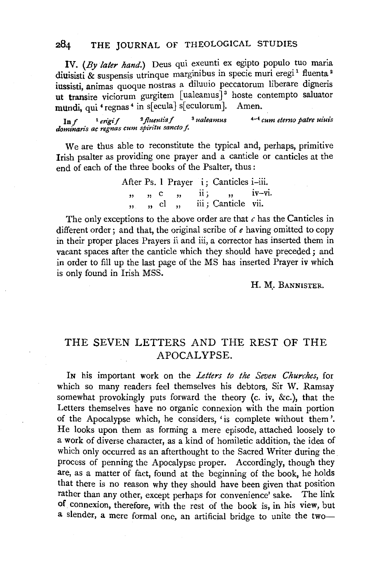## 284 THE JOURNAL OF THEOLOGICAL STUDIES

IV. *(By later hand.)* Deus qui exeunti ex egipto populo tuo maria diuisisti & suspensis utrinque marginibus in specie muri eregi<sup>1</sup> fluenta<sup>2</sup> iussisti, animas quoque nostras a diluuio peccatorum liberare digneris ut transire viciorum gurgitem [ualeamus]<sup>3</sup> hoste contempto saluator mundi, qui <sup>4</sup> regnas<sup>4</sup> in s[ ecula] s[ eculorum]. Amen.

lnf 1 *erigif* <sup>2</sup>Jl.u~ntiaf <sup>8</sup>*ualeamus* 4-l *cum eterno patre uiuis*  dominaris ac regnas cum spiritu sancto f.

We are thus able to reconstitute the typical and, perhaps, primitive Irish psalter as providing one prayer and a canticle or canticles at the end of each of the three books of the Psalter, thus :

> After Ps. 1 Prayer i; Canticles i-iii. "<br>.. " " c ,, cl ,, "<br>. ii; ,, iv–vi. iii; Canticle vii.

The only exceptions to the above order are that *c* has the Canticles in different order; and that, the original scribe of *e* having omitted to copy in their proper places Prayers ii and iii, a corrector has inserted them in vacant spaces after the canticle which they should have preceded ; and in order to fill up the last page of the MS has inserted Prayer iv which is only found in Irish MSS.

## H. M. BANNISTER.

## THE SEVEN LETTERS AND THE REST OF THE APOCALYPSE.

IN his important work on the *Letters to the Seven Churches,* for which so many readers feel themselves his debtors, Sir W. Ramsay somewhat provokingly puts forward the theory (c. iv, &c.), that the Letters themselves have no organic connexion with the main portion of the Apocalypse which, he considers, 'is complete without them'. He looks upon them as forming a mere episode, attached loosely to a work of diverse character, as a kind of homiletic addition, the idea of which only occurred as an afterthought to the Sacred Writer during the. process of penning the Apocalypse proper. Accordingly, though they are, as a matter of fact, found at the beginning of the book, he holds that there is no reason why they should have been given that position rather than any other, except perhaps for convenience' sake. The link of connexion, therefore, with the rest of the book is, in his view, but a slender, a mere formal one, an artificial bridge to unite the two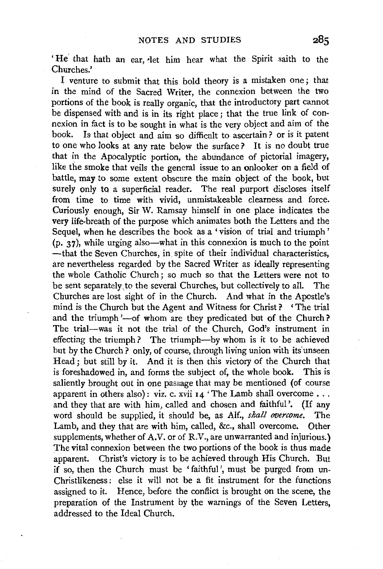'He that hath an ear, let him hear what the Spirit saith to the Churches.'

I venture to submit that this bold theory is a mistaken one; that in the mind of the Sacred Writer, the connexion between the two portions of the book is really organic, that the introductory part cannot be dispensed with and is in its right place; that the true link of connexion in fact is to be sought in what is the very object and aim of the book. Is that object and aim so difficult to ascertain? or is it patent to one who looks at any rate below the surface? It is no doubt true that in the Apocalyptic portion, the abundance of pictorial imagery, like the smoke that veils the general issue to an onlooker on a field of battle, may to some extent obscure the main object of the book, but surely only to a superficial reader. The real purport discloses itself from time to time with vivid, unmistakeable clearness and force. Curiously enough, Sir W. Ramsay himself in one place indicates the very life-breath of the purpose which animates both the Letters and the Sequel, when he describes the book as a ' vision of trial and triumph '  $(p, 37)$ , while urging also—what in this connexion is much to the point -that the Seven Churches, in. spite of their individual characteristics, are nevertheless regarded by the Sacred Writer as ideally representing the whole Catholic Church; so much so that the Letters were not to be sent separately, to the several Churches, but collectively to all. The Churches are lost sight of in the Church. And what in the Apostle's mind is the Church but the Agent and Witness for Christ? 'The trial and the triumph'-of whom are they predicated but of the Church? The trial-was it not the trial of the Church, God's instrument in effecting the triumph? The triumph-by whom is it to be achieved but by the Church? only, of course, through living union with its unseen Head ; but still by it. And it is then this victory of the Church that is foreshadowed in, and forms the subject of, the whole book. This is saliently brought out in one passage that may be mentioned (of course apparent in others also) : viz. c. xvii 14 'The Lamb shall overcome . . . and they that are with him, called and chosen and faithful'. (If any word should be supplied, it should be, as Alf., *shall overcome.* The Lamb, and they that are with him, called, &c., shall overcome. Other supplements, whether of A.V. or of R.V., are unwarranted and injurious.) The vital connexion between the two portions of the book is thus made apparent. Christ's victory is to be achieved through His Church. But if so, then the Church must be 'faithful', must be purged from un-Christlikeness *:* else it will not be a fit instrument for the functions assigned to it. Hence, before the conflict is brought on the scene, the preparation of the Instrument by the warnings of the Seven Letters, addressed to the Ideal Church.